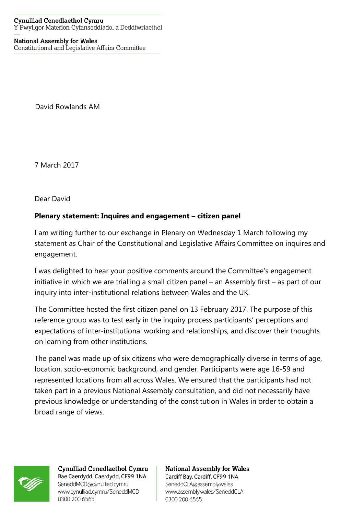## **National Assembly for Wales**

Constitutional and Legislative Affairs Committee

David Rowlands AM

7 March 2017

Dear David

## **Plenary statement: Inquires and engagement – citizen panel**

I am writing further to our exchange in Plenary on Wednesday 1 March following my statement as Chair of the Constitutional and Legislative Affairs Committee on inquires and engagement.

I was delighted to hear your positive comments around the Committee's engagement initiative in which we are trialling a small citizen panel – an Assembly first – as part of our inquiry into inter-institutional relations between Wales and the UK.

The Committee hosted the first citizen panel on 13 February 2017. The purpose of this reference group was to test early in the inquiry process participants' perceptions and expectations of inter-institutional working and relationships, and discover their thoughts on learning from other institutions.

The panel was made up of six citizens who were demographically diverse in terms of age, location, socio-economic background, and gender. Participants were age 16-59 and represented locations from all across Wales. We ensured that the participants had not taken part in a previous National Assembly consultation, and did not necessarily have previous knowledge or understanding of the constitution in Wales in order to obtain a broad range of views.



Cynulliad Cenedlaethol Cymru Bae Caerdydd, Caerdydd, CF99 1NA SeneddMCD@cynulliad.cymru www.cynulliad.cymru/SeneddMCD 0300 200 6565

**National Assembly for Wales** Cardiff Bay, Cardiff, CF99 1NA SeneddCLA@assembly.wales www.assembly.wales/SeneddCLA 0300 200 6565